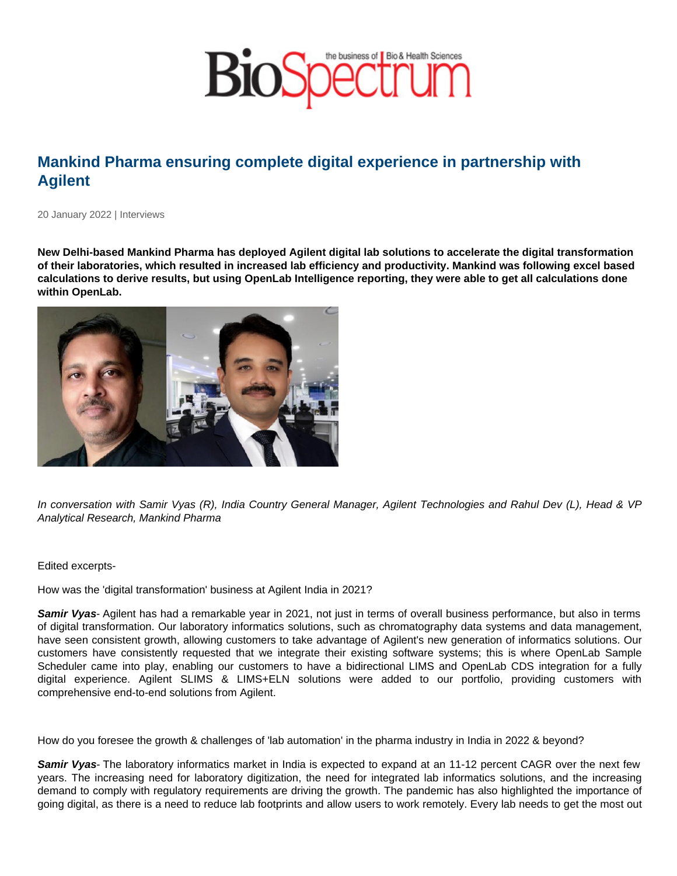## Mankind Pharma ensuring complete digital experience in partnership with Agilent

20 January 2022 | Interviews

New Delhi-based Mankind Pharma has deployed Agilent digital lab solutions to accelerate the digital transformation of their laboratories, which resulted in increased lab efficiency and productivity. Mankind was following excel based calculations to derive results, but using OpenLab Intelligence reporting, they were able to get all calculations done within OpenLab.

In conversation with Samir Vyas (R), India Country General Manager, Agilent Technologies and Rahul Dev (L), Head & VP Analytical Research, Mankind Pharma

## Edited excerpts-

How was the 'digital transformation' business at Agilent India in 2021?

Samir Vyas - Agilent has had a remarkable year in 2021, not just in terms of overall business performance, but also in terms of digital transformation. Our laboratory informatics solutions, such as chromatography data systems and data management, have seen consistent growth, allowing customers to take advantage of Agilent's new generation of informatics solutions. Our customers have consistently requested that we integrate their existing software systems; this is where OpenLab Sample Scheduler came into play, enabling our customers to have a bidirectional LIMS and OpenLab CDS integration for a fully digital experience. Agilent SLIMS & LIMS+ELN solutions were added to our portfolio, providing customers with comprehensive end-to-end solutions from Agilent.

How do you foresee the growth & challenges of 'lab automation' in the pharma industry in India in 2022 & beyond?

Samir Vyas - The laboratory informatics market in India is expected to expand at an 11-12 percent CAGR over the next few years. The increasing need for laboratory digitization, the need for integrated lab informatics solutions, and the increasing demand to comply with regulatory requirements are driving the growth. The pandemic has also highlighted the importance of going digital, as there is a need to reduce lab footprints and allow users to work remotely. Every lab needs to get the most out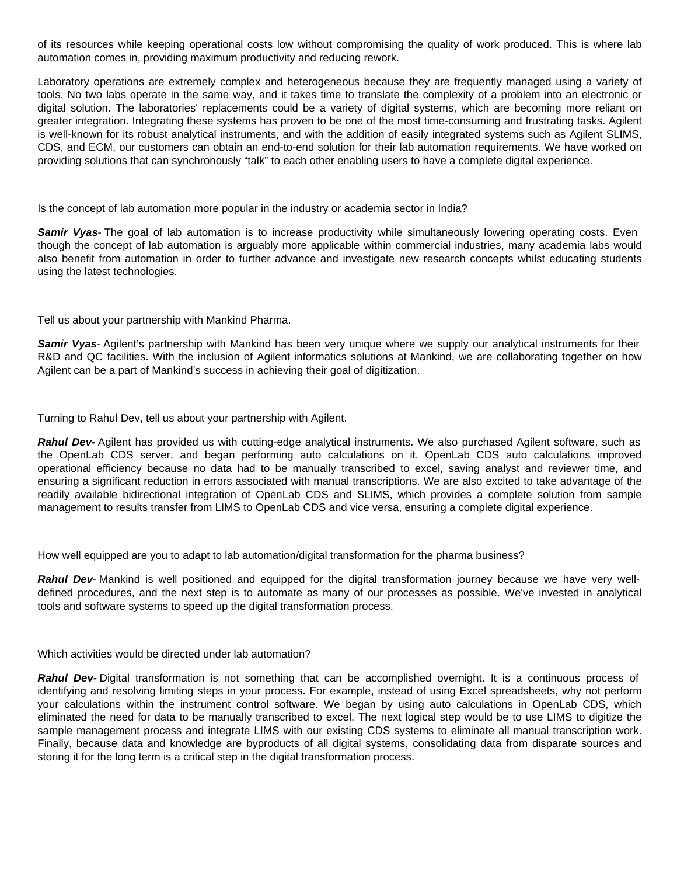of its resources while keeping operational costs low without compromising the quality of work produced. This is where lab automation comes in, providing maximum productivity and reducing rework.

Laboratory operations are extremely complex and heterogeneous because they are frequently managed using a variety of tools. No two labs operate in the same way, and it takes time to translate the complexity of a problem into an electronic or digital solution. The laboratories' replacements could be a variety of digital systems, which are becoming more reliant on greater integration. Integrating these systems has proven to be one of the most time-consuming and frustrating tasks. Agilent is well-known for its robust analytical instruments, and with the addition of easily integrated systems such as Agilent SLIMS, CDS, and ECM, our customers can obtain an end-to-end solution for their lab automation requirements. We have worked on providing solutions that can synchronously "talk" to each other enabling users to have a complete digital experience.

Is the concept of lab automation more popular in the industry or academia sector in India?

**Samir Vyas**- The goal of lab automation is to increase productivity while simultaneously lowering operating costs. Even though the concept of lab automation is arguably more applicable within commercial industries, many academia labs would also benefit from automation in order to further advance and investigate new research concepts whilst educating students using the latest technologies.

Tell us about your partnership with Mankind Pharma.

**Samir Vyas**- Agilent's partnership with Mankind has been very unique where we supply our analytical instruments for their R&D and QC facilities. With the inclusion of Agilent informatics solutions at Mankind, we are collaborating together on how Agilent can be a part of Mankind's success in achieving their goal of digitization.

Turning to Rahul Dev, tell us about your partnership with Agilent.

**Rahul Dev-** Agilent has provided us with cutting-edge analytical instruments. We also purchased Agilent software, such as the OpenLab CDS server, and began performing auto calculations on it. OpenLab CDS auto calculations improved operational efficiency because no data had to be manually transcribed to excel, saving analyst and reviewer time, and ensuring a significant reduction in errors associated with manual transcriptions. We are also excited to take advantage of the readily available bidirectional integration of OpenLab CDS and SLIMS, which provides a complete solution from sample management to results transfer from LIMS to OpenLab CDS and vice versa, ensuring a complete digital experience.

How well equipped are you to adapt to lab automation/digital transformation for the pharma business?

**Rahul Dev**- Mankind is well positioned and equipped for the digital transformation journey because we have very welldefined procedures, and the next step is to automate as many of our processes as possible. We've invested in analytical tools and software systems to speed up the digital transformation process.

Which activities would be directed under lab automation?

Rahul Dev- Digital transformation is not something that can be accomplished overnight. It is a continuous process of identifying and resolving limiting steps in your process. For example, instead of using Excel spreadsheets, why not perform your calculations within the instrument control software. We began by using auto calculations in OpenLab CDS, which eliminated the need for data to be manually transcribed to excel. The next logical step would be to use LIMS to digitize the sample management process and integrate LIMS with our existing CDS systems to eliminate all manual transcription work. Finally, because data and knowledge are byproducts of all digital systems, consolidating data from disparate sources and storing it for the long term is a critical step in the digital transformation process.